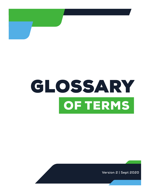

# GLOSSARY OF TERMS

**Version 2 | Sept 2020**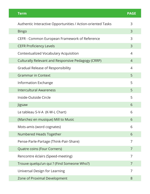| <b>Term</b>                                                 | <b>PAGE</b>    |
|-------------------------------------------------------------|----------------|
| Authentic Interactive Opportunities / Action-oriented Tasks | 3              |
| <b>Bingo</b>                                                | 3              |
| CEFR - Common European Framework of Reference               | 3              |
| <b>CEFR Proficiency Levels</b>                              | 3              |
| Contextualized Vocabulary Acquisition                       | 4              |
| <b>Culturally Relevant and Responsive Pedagogy (CRRP)</b>   | $\overline{4}$ |
| Gradual Release of Responsibility                           | 4              |
| <b>Grammar in Context</b>                                   | 5              |
| <b>Information Exchange</b>                                 | 5              |
| <b>Intercultural Awareness</b>                              | 5              |
| Inside-Outside Circle                                       | 5              |
| Jigsaw                                                      | 6              |
| Le tableau S-V-A (K-W-L Chart)                              | 6              |
| (Marchez en musique) Mill to Music                          | 6              |
| Mots-amis (word cognates)                                   | 6              |
| Numbered Heads Together                                     | 6              |
| Pense-Parle-Partage (Think-Pair-Share)                      | 7              |
| Quatre coins (Four Corners)                                 | 7              |
| Rencontre éclairs (Speed-meeting)                           | 7              |
| Trouve quelqu'un qui ? (Find Someone Who?)                  | 7              |
| Universal Design for Learning                               | 7              |
| Zone of Proximal Development                                | 8              |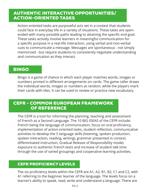# AUTHENTIC INTERACTIVE OPPORTUNITIES/ ACTION-ORIENTED TASKS

Action-oriented tasks are purposeful acts set in a context that students could face in everyday life in a variety of situations. These tasks are openended with many possible paths leading to attaining the specific end goal. These tasks actively involve learners in meaningful communication for a specific purpose in a real-life interaction, using verbal and non-verbal cues to communicate a message. Messages are spontaneous - not simply memorized - but require students to consistently negotiate understanding and communication as they interact.

# BINGO

Bingo is a game of chance in which each player matches words, images or numbers printed in different arrangements on cards. The game caller draws the individual words, images or numbers at random, while the players mark their cards with tiles. It can be used to review or practice new vocabulary.

# CEFR - COMMON EUROPEAN FRAMEWORK OF REFERENCE

The CEFR is a tool for informing the planning, teaching and assessment of French as a Second Language. The 10 BIG IDEAS of the CEFR include: French being the language of communication, focus on oral proficiency, implementation of action-oriented tasks, student reflection, communicative activities to develop the 5 language skills (listening, spoken production, spoken interaction, reading, writing), grammar presented in context, differentiated instruction, Gradual Release of Responsibility model, exposure to authentic French texts and increase of student talk time through the use of varied groupings and cooperative learning activities.

#### CEFR PROFICIENCY LEVELS

The six proficiency levels within the CEFR are A1, A2, B1, B2, C1 and C2, with A1 referring to the beginner learner of the language. The levels focus on a learner's ability to speak, read, write and understand a language. There are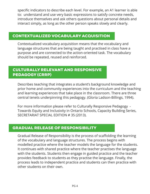specific indicators to describe each level. For example, an A1 learner is able to: understand and use very basic expressions to satisfy concrete needs, introduce themselves and ask others questions about personal details and interact simply, as long as the other person speaks slowly and clearly.

#### CONTEXTUALIZED VOCABULARY ACQUISITION

Contextualized vocabulary acquisition means that the vocabulary and language structures that are being taught and practised in class have a purpose and are connected to the action-oriented task. The vocabulary should be repeated, reused and reinforced.

## CULTURALLY RELEVANT AND RESPONSIVE PEDAGOGY (CRRP)

Describes teaching that integrates a student's background knowledge and prior home and community experiences into the curriculum and the teaching and learning experiences that take place in the classroom. There are three central tenets underpinning this pedagogy. (Gloria Ladson-Billings, 1994).

For more information please refer to Culturally Responsive Pedagogy - Towards Equity and Inclusivity in Ontario Schools, Capacity Building Series, SECRETARIAT SPECIAL EDITION # 35 (2013).

## GRADUAL RELEASE OF RESPONSIBILITY

Gradual Release of Responsibility is the process of scaffolding the learning of the vocabulary and language structures. The process begins with modelled practice where the teacher models the language for the students. It continues with shared practice where the teacher practises the language with the students. Students then engage in guided practice and the teacher provides feedback to students as they practise the language. Finally, the process leads to independent practice and students can then practice with other students on their own.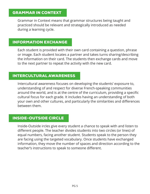Grammar in Context means that grammar structures being taught and practiced should be relevant and strategically introduced as needed during a learning cycle.

## INFORMATION EXCHANGE

Each student is provided with their own card containing a question, phrase or image. Each student locates a partner and takes turns sharing/describing the information on their card. The students then exchange cards and move to the next partner to repeat the activity with the new card.

## INTERCULTURAL AWARENESS

Intercultural awareness focuses on developing the students' exposure to, understanding of and respect for diverse French-speaking communities around the world, and is at the centre of the curriculum, providing a specific cultural focus for each grade. It includes having an understanding of both your own and other cultures, and particularly the similarities and differences between them.

#### INSIDE-OUTSIDE CIRCLE

Inside-Outside ircles give every student a chance to speak with and listen to different people. The teacher divides students into two circles (or lines) of equal numbers, facing another student. Students speak to the person they are facing using the targeted vocabulary. Once students have exchanged information, they move the number of spaces and direction according to the teacher's instructions to speak to someone different.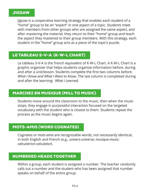#### JIGSAW

Jigsaw is a cooperative learning strategy that enables each student of a "home" group to be an "expert" in one aspect of a topic. Students meet with members from other groups who are assigned the same aspect, and after mastering the material, they return to their "home" group and teach the aspect they mastered to their group members. With this strategy, each student in the "home" group acts as a piece of the topic's puzzle.

## LE TABLEAU S-V-A (K-W-L CHART)

Le tableau S-V-A is the french equivalent of K-W-L Chart. A K-W-L Chart is a graphic organizer that helps students organize information before, during and after a unit/lesson. Students complete the first two columns before: *What I Know and What I Want to Know*. The last column is completed during and after the learning: *What I Learned.*

## MARCHEZ EN MUSIQUE (MILL TO MUSIC)

Students move around the classroom to the music, then when the music stops, they engage in purposeful interaction focused on the targeted vocabulary with the student who is closest to them. Students repeat the process as the music begins again.

#### MOTS-AMIS (WORD COGNATES)

Cognates or *mots-amis* are recognizable words, not necessarily identical, in both English and French (e.g., *univers-universe; musique-music; calculatrice-calculator*).

## NUMBERED HEADS TOGETHER

Within a group, each student is assigned a number. The teacher randomly calls out a number and the student who has been assigned that number speaks on behalf of the entire group.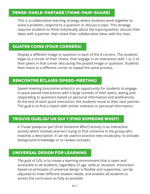## PENSE-PARLE-PARTAGE (THINK-PAIR-SHARE)

This is a collaborative learning strategy where students work together to solve a problem, respond to a question or discuss a topic. This strategy requires students to think individually about the topic/question, discuss their ideas with a partner, then share their collaborative ideas with the class.

## QUATRE COINS (FOUR CORNERS)

Display a different image or question in each of the 4 corners. The students begin at a corner of their choice, then engage in an interaction with 1 or 2 of their peers in that corner discussing the posted image or question. Students then move to a different corner to repeat the same process.

# RENCONTRE ÉCLAIRS (SPEED-MEETING)

Speed-meeting (*rencontres-éclairs*) is an opportunity for students to engage in quick paired interactions with a large number of their peers, asking and responding to questions based on personal information and preferences. At the end of each quick interaction, the students move to their next partner. The goal is to find a match with similar interests or personal information.

## TROUVE QUELQU'UN QUI ? (FIND SOMEONE WHO?)

A *Trouve quelqu'un qui*? (Find Someone Who?) activity is an interactive activity which involves learners trying to find someone in the group who matches a description. It can be used to practice new vocabulary, to activate background knowledge or to review concepts.

#### UNIVERSAL DESIGN FOR LEARNING

The goal of UDL is to create a learning environment that is open and accessible to all students, regardless of age, skills,or situation. Instruction based on principles of universal design is flexible and supportive, can be adjusted to meet different student needs, and enables all students to access the curriculum as fully as possible.